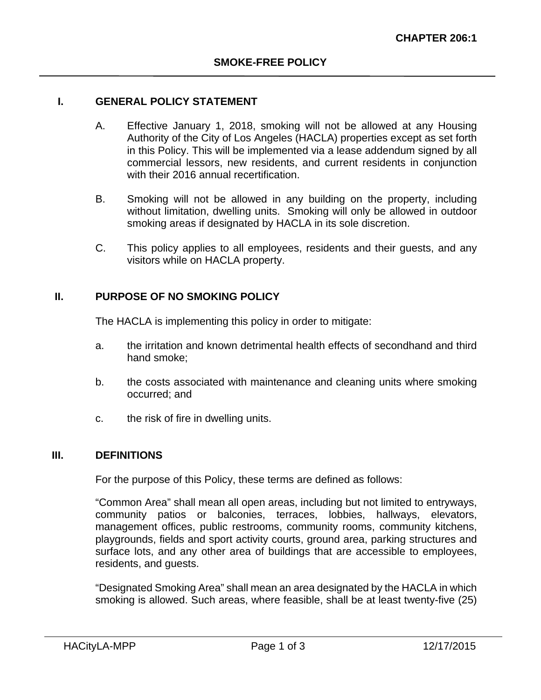### **I. GENERAL POLICY STATEMENT**

- A. Effective January 1, 2018, smoking will not be allowed at any Housing Authority of the City of Los Angeles (HACLA) properties except as set forth in this Policy. This will be implemented via a lease addendum signed by all commercial lessors, new residents, and current residents in conjunction with their 2016 annual recertification.
- B. Smoking will not be allowed in any building on the property, including without limitation, dwelling units. Smoking will only be allowed in outdoor smoking areas if designated by HACLA in its sole discretion.
- C. This policy applies to all employees, residents and their guests, and any visitors while on HACLA property.

#### **II. PURPOSE OF NO SMOKING POLICY**

The HACLA is implementing this policy in order to mitigate:

- a. the irritation and known detrimental health effects of secondhand and third hand smoke;
- b. the costs associated with maintenance and cleaning units where smoking occurred; and
- c. the risk of fire in dwelling units.

#### **III. DEFINITIONS**

For the purpose of this Policy, these terms are defined as follows:

"Common Area" shall mean all open areas, including but not limited to entryways, community patios or balconies, terraces, lobbies, hallways, elevators, management offices, public restrooms, community rooms, community kitchens, playgrounds, fields and sport activity courts, ground area, parking structures and surface lots, and any other area of buildings that are accessible to employees, residents, and guests.

"Designated Smoking Area" shall mean an area designated by the HACLA in which smoking is allowed. Such areas, where feasible, shall be at least twenty-five (25)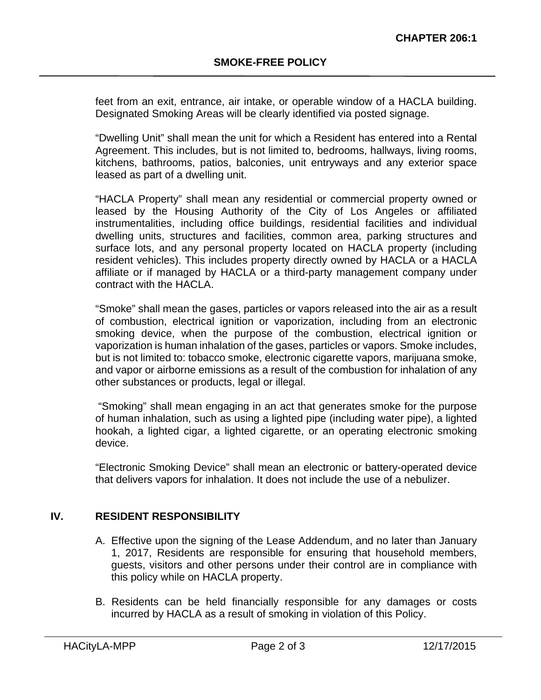feet from an exit, entrance, air intake, or operable window of a HACLA building. Designated Smoking Areas will be clearly identified via posted signage.

"Dwelling Unit" shall mean the unit for which a Resident has entered into a Rental Agreement. This includes, but is not limited to, bedrooms, hallways, living rooms, kitchens, bathrooms, patios, balconies, unit entryways and any exterior space leased as part of a dwelling unit.

"HACLA Property" shall mean any residential or commercial property owned or leased by the Housing Authority of the City of Los Angeles or affiliated instrumentalities, including office buildings, residential facilities and individual dwelling units, structures and facilities, common area, parking structures and surface lots, and any personal property located on HACLA property (including resident vehicles). This includes property directly owned by HACLA or a HACLA affiliate or if managed by HACLA or a third-party management company under contract with the HACLA.

"Smoke" shall mean the gases, particles or vapors released into the air as a result of combustion, electrical ignition or vaporization, including from an electronic smoking device, when the purpose of the combustion, electrical ignition or vaporization is human inhalation of the gases, particles or vapors. Smoke includes, but is not limited to: tobacco smoke, electronic cigarette vapors, marijuana smoke, and vapor or airborne emissions as a result of the combustion for inhalation of any other substances or products, legal or illegal.

 "Smoking" shall mean engaging in an act that generates smoke for the purpose of human inhalation, such as using a lighted pipe (including water pipe), a lighted hookah, a lighted cigar, a lighted cigarette, or an operating electronic smoking device.

"Electronic Smoking Device" shall mean an electronic or battery-operated device that delivers vapors for inhalation. It does not include the use of a nebulizer.

# **IV. RESIDENT RESPONSIBILITY**

- A. Effective upon the signing of the Lease Addendum, and no later than January 1, 2017, Residents are responsible for ensuring that household members, guests, visitors and other persons under their control are in compliance with this policy while on HACLA property.
- B. Residents can be held financially responsible for any damages or costs incurred by HACLA as a result of smoking in violation of this Policy.